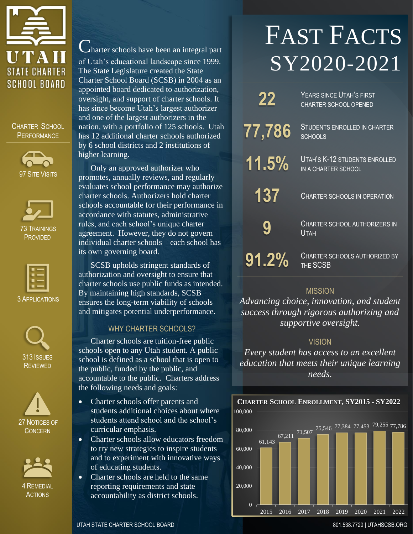

CHARTER SCHOOL **PERFORMANCE** 







3 APPLICATIONS







Charter schools have been an integral part of Utah's educational landscape since 1999. The State Legislature created the State Charter School Board (SCSB) in 2004 as an appointed board dedicated to authorization, oversight, and support of charter schools. It has since become Utah's largest authorizer and one of the largest authorizers in the nation, with a portfolio of 125 schools. Utah has 12 additional charter schools authorized by 6 school districts and 2 institutions of higher learning.

Only an approved authorizer who promotes, annually reviews, and regularly evaluates school performance may authorize charter schools. Authorizers hold charter schools accountable for their performance in accordance with statutes, administrative rules, and each school's unique charter agreement. However, they do not govern individual charter schools—each school has its own governing board.

SCSB upholds stringent standards of authorization and oversight to ensure that charter schools use public funds as intended. By maintaining high standards, SCSB ensures the long-term viability of schools and mitigates potential underperformance.

# WHY CHARTER SCHOOLS?

Charter schools are tuition-free public schools open to any Utah student. A public school is defined as a school that is open to the public, funded by the public, and accountable to the public. Charters address the following needs and goals:

- Charter schools offer parents and students additional choices about where students attend school and the school's curricular emphasis.
- Charter schools allow educators freedom to try new strategies to inspire students and to experiment with innovative ways of educating students.
- Charter schools are held to the same reporting requirements and state accountability as district schools.

# FAST FACTS SY2020-2021

| 22            | YEARS SINCE UTAH'S FIRST<br><b>CHARTER SCHOOL OPENED</b> |
|---------------|----------------------------------------------------------|
| <u>77,786</u> | <b>STUDENTS ENROLLED IN CHARTER</b><br><b>SCHOOLS</b>    |
| 11.5%         | UTAH'S K-12 STUDENTS ENROLLED<br>IN A CHARTER SCHOOL     |
| 137           | <b>CHARTER SCHOOLS IN OPERATION</b>                      |
| 9             | <b>CHARTER SCHOOL AUTHORIZERS IN</b><br>Utah             |
| 91.2%         | <b>CHARTER SCHOOLS AUTHORIZED BY</b><br>THE SCSB         |

## **MISSION**

*Advancing choice, innovation, and student success through rigorous authorizing and supportive oversight.*

## VISION

*Every student has access to an excellent education that meets their unique learning needs.*



UTAH STATE CHARTER SCHOOL BOARD **801.538.7720 | UTAHSCSB.ORG** 801.538.7720 | UTAHSCSB.ORG